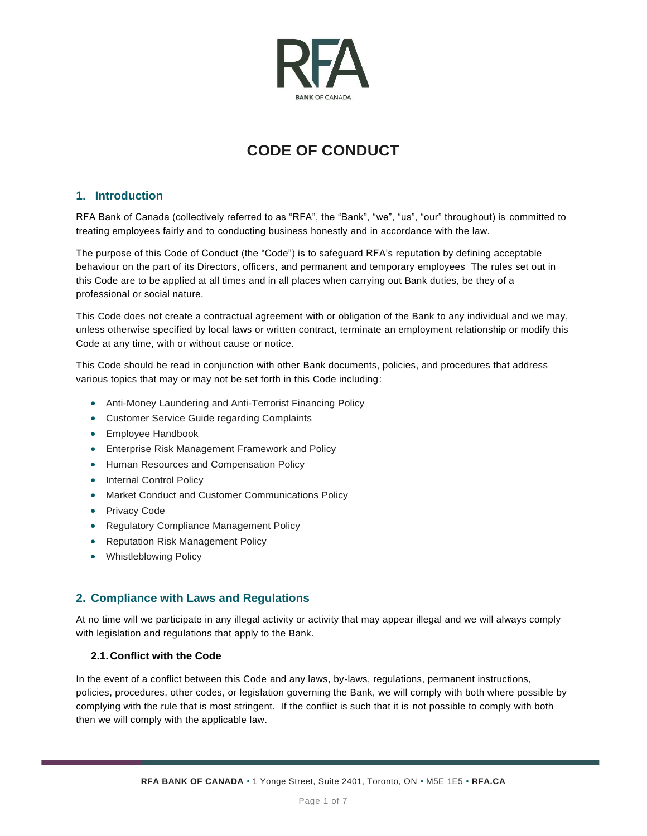

# **CODE OF CONDUCT**

# **1. Introduction**

RFA Bank of Canada (collectively referred to as "RFA", the "Bank", "we", "us", "our" throughout) is committed to treating employees fairly and to conducting business honestly and in accordance with the law.

The purpose of this Code of Conduct (the "Code") is to safeguard RFA's reputation by defining acceptable behaviour on the part of its Directors, officers, and permanent and temporary employees The rules set out in this Code are to be applied at all times and in all places when carrying out Bank duties, be they of a professional or social nature.

This Code does not create a contractual agreement with or obligation of the Bank to any individual and we may, unless otherwise specified by local laws or written contract, terminate an employment relationship or modify this Code at any time, with or without cause or notice.

This Code should be read in conjunction with other Bank documents, policies, and procedures that address various topics that may or may not be set forth in this Code including:

- Anti-Money Laundering and Anti-Terrorist Financing Policy
- Customer Service Guide regarding Complaints
- Employee Handbook
- Enterprise Risk Management Framework and Policy
- Human Resources and Compensation Policy
- Internal Control Policy
- Market Conduct and Customer Communications Policy
- Privacy Code
- Regulatory Compliance Management Policy
- Reputation Risk Management Policy
- Whistleblowing Policy

# **2. Compliance with Laws and Regulations**

At no time will we participate in any illegal activity or activity that may appear illegal and we will always comply with legislation and regulations that apply to the Bank.

## **2.1.Conflict with the Code**

In the event of a conflict between this Code and any laws, by-laws, regulations, permanent instructions, policies, procedures, other codes, or legislation governing the Bank, we will comply with both where possible by complying with the rule that is most stringent. If the conflict is such that it is not possible to comply with both then we will comply with the applicable law.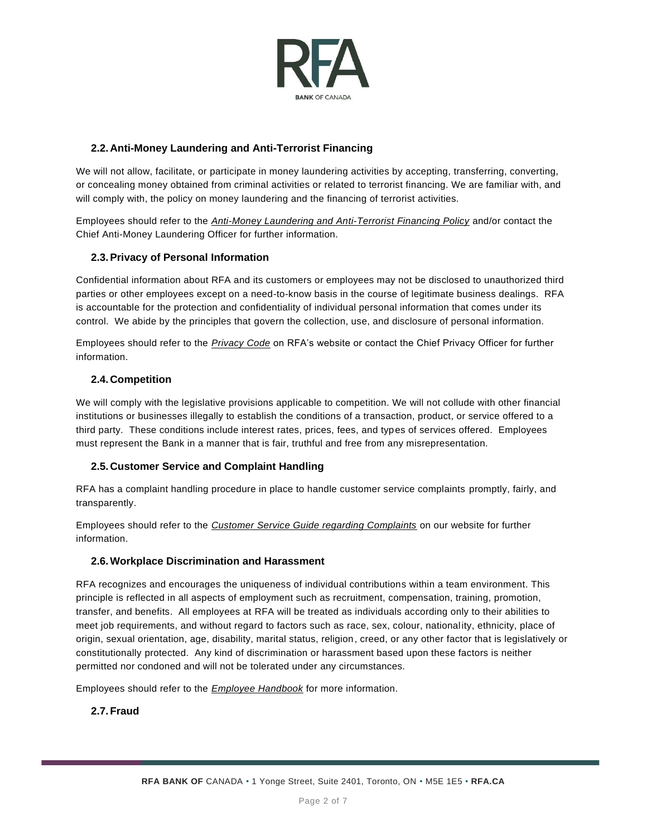

# **2.2.Anti-Money Laundering and Anti-Terrorist Financing**

We will not allow, facilitate, or participate in money laundering activities by accepting, transferring, converting, or concealing money obtained from criminal activities or related to terrorist financing. We are familiar with, and will comply with, the policy on money laundering and the financing of terrorist activities.

Employees should refer to the *Anti-Money Laundering and Anti-Terrorist Financing Policy* and/or contact the Chief Anti-Money Laundering Officer for further information.

# **2.3.Privacy of Personal Information**

Confidential information about RFA and its customers or employees may not be disclosed to unauthorized third parties or other employees except on a need-to-know basis in the course of legitimate business dealings. RFA is accountable for the protection and confidentiality of individual personal information that comes under its control. We abide by the principles that govern the collection, use, and disclosure of personal information.

Employees should refer to the *Privacy Code* on RFA's website or contact the Chief Privacy Officer for further information.

## **2.4.Competition**

We will comply with the legislative provisions applicable to competition. We will not collude with other financial institutions or businesses illegally to establish the conditions of a transaction, product, or service offered to a third party. These conditions include interest rates, prices, fees, and types of services offered. Employees must represent the Bank in a manner that is fair, truthful and free from any misrepresentation.

#### **2.5.Customer Service and Complaint Handling**

RFA has a complaint handling procedure in place to handle customer service complaints promptly, fairly, and transparently.

Employees should refer to the *Customer Service Guide regarding Complaints* on our website for further information.

#### **2.6.Workplace Discrimination and Harassment**

RFA recognizes and encourages the uniqueness of individual contributions within a team environment. This principle is reflected in all aspects of employment such as recruitment, compensation, training, promotion, transfer, and benefits. All employees at RFA will be treated as individuals according only to their abilities to meet job requirements, and without regard to factors such as race, sex, colour, national ity, ethnicity, place of origin, sexual orientation, age, disability, marital status, religion, creed, or any other factor that is legislatively or constitutionally protected. Any kind of discrimination or harassment based upon these factors is neither permitted nor condoned and will not be tolerated under any circumstances.

Employees should refer to the *Employee Handbook* for more information.

# **2.7.Fraud**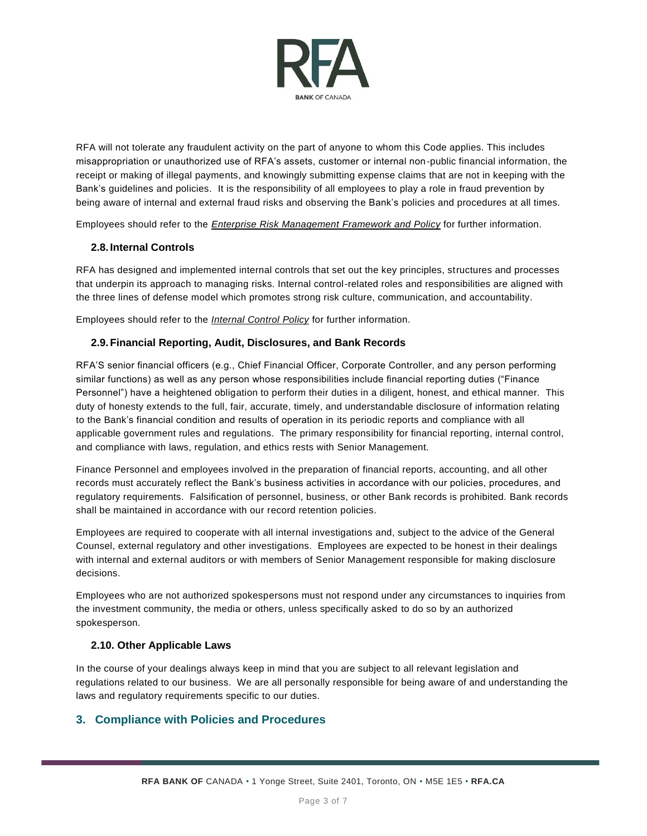

RFA will not tolerate any fraudulent activity on the part of anyone to whom this Code applies. This includes misappropriation or unauthorized use of RFA's assets, customer or internal non-public financial information, the receipt or making of illegal payments, and knowingly submitting expense claims that are not in keeping with the Bank's guidelines and policies. It is the responsibility of all employees to play a role in fraud prevention by being aware of internal and external fraud risks and observing the Bank's policies and procedures at all times.

Employees should refer to the *Enterprise Risk Management Framework and Policy* for further information.

## **2.8. Internal Controls**

RFA has designed and implemented internal controls that set out the key principles, structures and processes that underpin its approach to managing risks. Internal control-related roles and responsibilities are aligned with the three lines of defense model which promotes strong risk culture, communication, and accountability.

Employees should refer to the *Internal Control Policy* for further information.

#### **2.9.Financial Reporting, Audit, Disclosures, and Bank Records**

RFA'S senior financial officers (e.g., Chief Financial Officer, Corporate Controller, and any person performing similar functions) as well as any person whose responsibilities include financial reporting duties ("Finance Personnel") have a heightened obligation to perform their duties in a diligent, honest, and ethical manner. This duty of honesty extends to the full, fair, accurate, timely, and understandable disclosure of information relating to the Bank's financial condition and results of operation in its periodic reports and compliance with all applicable government rules and regulations. The primary responsibility for financial reporting, internal control, and compliance with laws, regulation, and ethics rests with Senior Management.

Finance Personnel and employees involved in the preparation of financial reports, accounting, and all other records must accurately reflect the Bank's business activities in accordance with our policies, procedures, and regulatory requirements. Falsification of personnel, business, or other Bank records is prohibited. Bank records shall be maintained in accordance with our record retention policies.

Employees are required to cooperate with all internal investigations and, subject to the advice of the General Counsel, external regulatory and other investigations. Employees are expected to be honest in their dealings with internal and external auditors or with members of Senior Management responsible for making disclosure decisions.

Employees who are not authorized spokespersons must not respond under any circumstances to inquiries from the investment community, the media or others, unless specifically asked to do so by an authorized spokesperson.

#### **2.10. Other Applicable Laws**

In the course of your dealings always keep in mind that you are subject to all relevant legislation and regulations related to our business. We are all personally responsible for being aware of and understanding the laws and regulatory requirements specific to our duties.

# **3. Compliance with Policies and Procedures**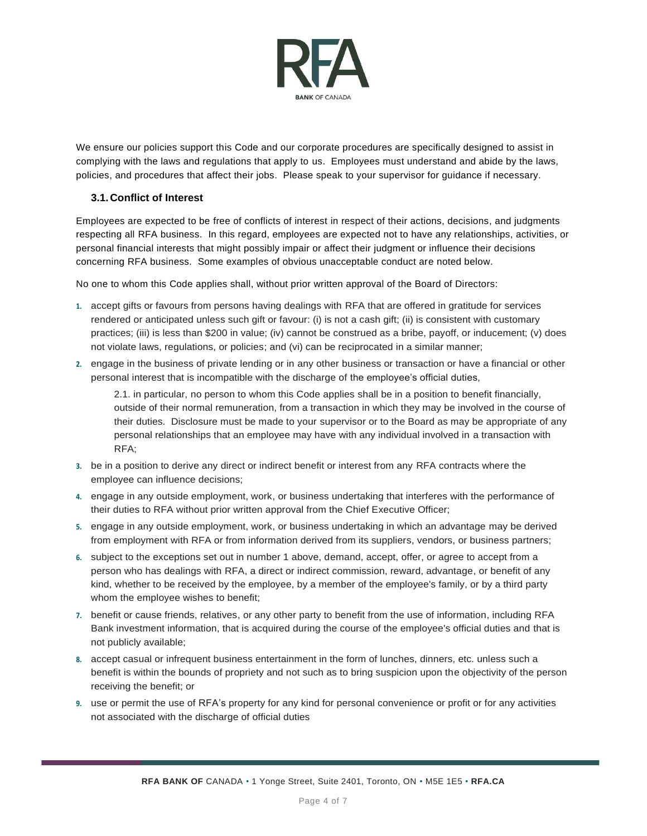

We ensure our policies support this Code and our corporate procedures are specifically designed to assist in complying with the laws and regulations that apply to us. Employees must understand and abide by the laws, policies, and procedures that affect their jobs. Please speak to your supervisor for guidance if necessary.

## **3.1.Conflict of Interest**

Employees are expected to be free of conflicts of interest in respect of their actions, decisions, and judgments respecting all RFA business. In this regard, employees are expected not to have any relationships, activities, or personal financial interests that might possibly impair or affect their judgment or influence their decisions concerning RFA business. Some examples of obvious unacceptable conduct are noted below.

No one to whom this Code applies shall, without prior written approval of the Board of Directors:

- **1.** accept gifts or favours from persons having dealings with RFA that are offered in gratitude for services rendered or anticipated unless such gift or favour: (i) is not a cash gift; (ii) is consistent with customary practices; (iii) is less than \$200 in value; (iv) cannot be construed as a bribe, payoff, or inducement; (v) does not violate laws, regulations, or policies; and (vi) can be reciprocated in a similar manner;
- **2.** engage in the business of private lending or in any other business or transaction or have a financial or other personal interest that is incompatible with the discharge of the employee's official duties,

2.1. in particular, no person to whom this Code applies shall be in a position to benefit financially, outside of their normal remuneration, from a transaction in which they may be involved in the course of their duties. Disclosure must be made to your supervisor or to the Board as may be appropriate of any personal relationships that an employee may have with any individual involved in a transaction with RFA;

- **3.** be in a position to derive any direct or indirect benefit or interest from any RFA contracts where the employee can influence decisions;
- **4.** engage in any outside employment, work, or business undertaking that interferes with the performance of their duties to RFA without prior written approval from the Chief Executive Officer;
- **5.** engage in any outside employment, work, or business undertaking in which an advantage may be derived from employment with RFA or from information derived from its suppliers, vendors, or business partners;
- **6.** subject to the exceptions set out in number 1 above, demand, accept, offer, or agree to accept from a person who has dealings with RFA, a direct or indirect commission, reward, advantage, or benefit of any kind, whether to be received by the employee, by a member of the employee's family, or by a third party whom the employee wishes to benefit;
- **7.** benefit or cause friends, relatives, or any other party to benefit from the use of information, including RFA Bank investment information, that is acquired during the course of the employee's official duties and that is not publicly available;
- **8.** accept casual or infrequent business entertainment in the form of lunches, dinners, etc. unless such a benefit is within the bounds of propriety and not such as to bring suspicion upon the objectivity of the person receiving the benefit; or
- **9.** use or permit the use of RFA's property for any kind for personal convenience or profit or for any activities not associated with the discharge of official duties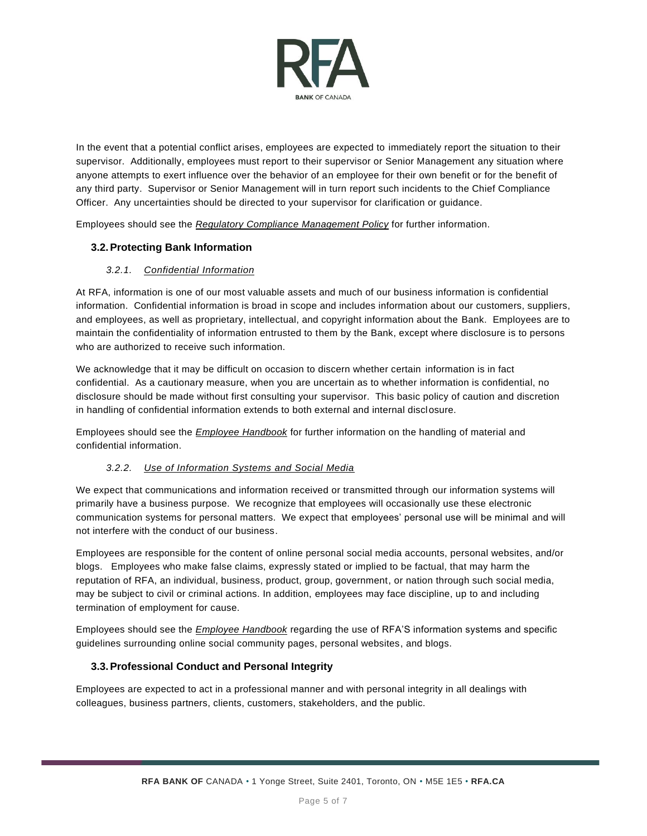

In the event that a potential conflict arises, employees are expected to immediately report the situation to their supervisor. Additionally, employees must report to their supervisor or Senior Management any situation where anyone attempts to exert influence over the behavior of an employee for their own benefit or for the benefit of any third party. Supervisor or Senior Management will in turn report such incidents to the Chief Compliance Officer. Any uncertainties should be directed to your supervisor for clarification or guidance.

Employees should see the *Regulatory Compliance Management Policy* for further information.

# **3.2.Protecting Bank Information**

## *3.2.1. Confidential Information*

At RFA, information is one of our most valuable assets and much of our business information is confidential information. Confidential information is broad in scope and includes information about our customers, suppliers, and employees, as well as proprietary, intellectual, and copyright information about the Bank. Employees are to maintain the confidentiality of information entrusted to them by the Bank, except where disclosure is to persons who are authorized to receive such information.

We acknowledge that it may be difficult on occasion to discern whether certain information is in fact confidential. As a cautionary measure, when you are uncertain as to whether information is confidential, no disclosure should be made without first consulting your supervisor. This basic policy of caution and discretion in handling of confidential information extends to both external and internal disclosure.

Employees should see the *Employee Handbook* for further information on the handling of material and confidential information.

#### *3.2.2. Use of Information Systems and Social Media*

We expect that communications and information received or transmitted through our information systems will primarily have a business purpose. We recognize that employees will occasionally use these electronic communication systems for personal matters. We expect that employees' personal use will be minimal and will not interfere with the conduct of our business.

Employees are responsible for the content of online personal social media accounts, personal websites, and/or blogs. Employees who make false claims, expressly stated or implied to be factual, that may harm the reputation of RFA, an individual, business, product, group, government, or nation through such social media, may be subject to civil or criminal actions. In addition, employees may face discipline, up to and including termination of employment for cause.

Employees should see the *Employee Handbook* regarding the use of RFA'S information systems and specific guidelines surrounding online social community pages, personal websites, and blogs.

#### **3.3.Professional Conduct and Personal Integrity**

Employees are expected to act in a professional manner and with personal integrity in all dealings with colleagues, business partners, clients, customers, stakeholders, and the public.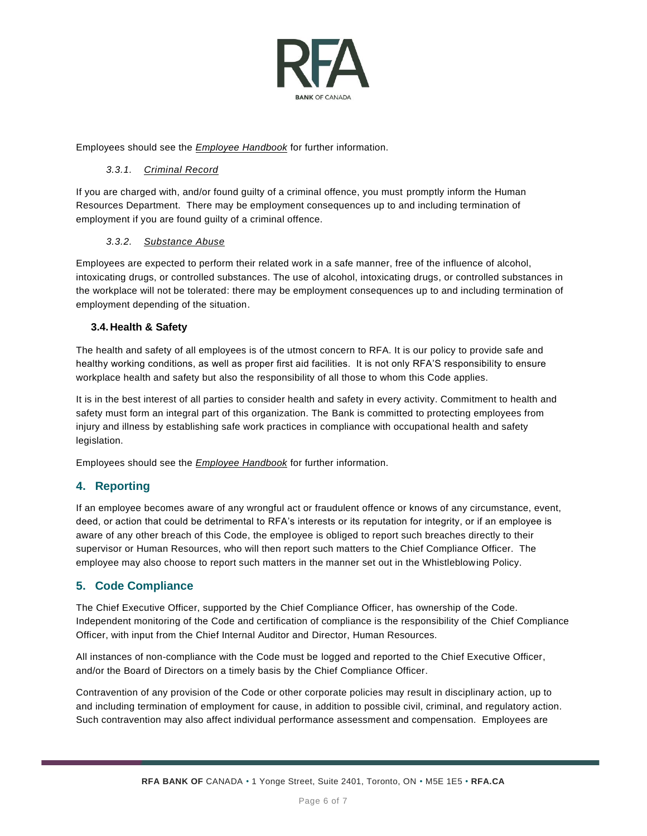

Employees should see the *Employee Handbook* for further information.

#### *3.3.1. Criminal Record*

If you are charged with, and/or found guilty of a criminal offence, you must promptly inform the Human Resources Department. There may be employment consequences up to and including termination of employment if you are found guilty of a criminal offence.

#### *3.3.2. Substance Abuse*

Employees are expected to perform their related work in a safe manner, free of the influence of alcohol, intoxicating drugs, or controlled substances. The use of alcohol, intoxicating drugs, or controlled substances in the workplace will not be tolerated: there may be employment consequences up to and including termination of employment depending of the situation.

#### **3.4.Health & Safety**

The health and safety of all employees is of the utmost concern to RFA. It is our policy to provide safe and healthy working conditions, as well as proper first aid facilities. It is not only RFA'S responsibility to ensure workplace health and safety but also the responsibility of all those to whom this Code applies.

It is in the best interest of all parties to consider health and safety in every activity. Commitment to health and safety must form an integral part of this organization. The Bank is committed to protecting employees from injury and illness by establishing safe work practices in compliance with occupational health and safety legislation.

Employees should see the *Employee Handbook* for further information.

# **4. Reporting**

If an employee becomes aware of any wrongful act or fraudulent offence or knows of any circumstance, event, deed, or action that could be detrimental to RFA's interests or its reputation for integrity, or if an employee is aware of any other breach of this Code, the employee is obliged to report such breaches directly to their supervisor or Human Resources, who will then report such matters to the Chief Compliance Officer. The employee may also choose to report such matters in the manner set out in the Whistleblowing Policy.

# **5. Code Compliance**

The Chief Executive Officer, supported by the Chief Compliance Officer, has ownership of the Code. Independent monitoring of the Code and certification of compliance is the responsibility of the Chief Compliance Officer, with input from the Chief Internal Auditor and Director, Human Resources.

All instances of non-compliance with the Code must be logged and reported to the Chief Executive Officer, and/or the Board of Directors on a timely basis by the Chief Compliance Officer.

Contravention of any provision of the Code or other corporate policies may result in disciplinary action, up to and including termination of employment for cause, in addition to possible civil, criminal, and regulatory action. Such contravention may also affect individual performance assessment and compensation. Employees are